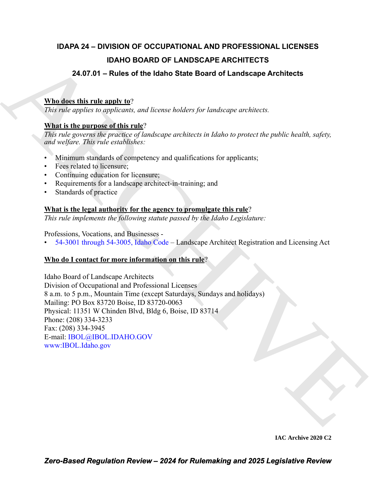# **IDAPA 24 – DIVISION OF OCCUPATIONAL AND PROFESSIONAL LICENSES IDAHO BOARD OF LANDSCAPE ARCHITECTS**

# **24.07.01 – Rules of the Idaho State Board of Landscape Architects**

# **Who does this rule apply to**?

*This rule applies to applicants, and license holders for landscape architects.*

### **What is the purpose of this rule**?

*This rule governs the practice of landscape architects in Idaho to protect the public health, safety, and welfare. This rule establishes:*

- Minimum standards of competency and qualifications for applicants;
- Fees related to licensure;
- Continuing education for licensure:
- Requirements for a landscape architect-in-training; and
- Standards of practice

# **What is the legal authority for the agency to promulgate this rule**?

*This rule implements the following statute passed by the Idaho Legislature:*

Professions, Vocations, and Businesses -

• 54-3001 through 54-3005, Idaho Code – Landscape Architect Registration and Licensing Act

# **Who do I contact for more information on this rule**?

**IDAHO BOARD OF LANDSCAPE AR[CH](https://legislature.idaho.gov/statutesrules/idstat/Title54/T54CH30/)IT[E](http://www.ibol.idaho.gov/)CTS**<br>
24.07.01 – Rules of the Idaho State Board of Landscape Architects<br>
What detects historic angle to "<br>
This rate opplies to applicate and increase holders for incidengous architects.<br> Idaho Board of Landscape Architects Division of Occupational and Professional Licenses 8 a.m. to 5 p.m., Mountain Time (except Saturdays, Sundays and holidays) Mailing: PO Box 83720 Boise, ID 83720-0063 Physical: 11351 W Chinden Blvd, Bldg 6, Boise, ID 83714 Phone: (208) 334-3233 Fax: (208) 334-3945 E-mail: IBOL@IBOL.IDAHO.GOV www:IBOL.Idaho.gov

**IAC Archive 2020 C2**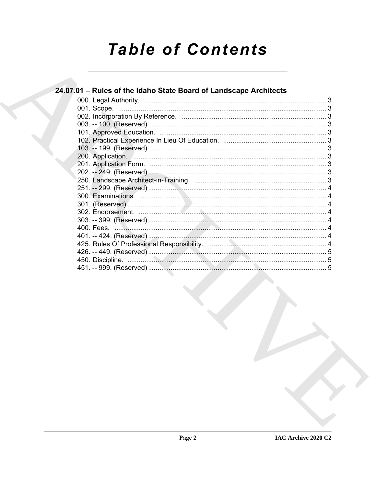# **Table of Contents**

| 24.07.01 – Rules of the Idaho State Board of Landscape Architects |  |
|-------------------------------------------------------------------|--|
|                                                                   |  |
|                                                                   |  |
|                                                                   |  |
|                                                                   |  |
|                                                                   |  |
|                                                                   |  |
|                                                                   |  |
|                                                                   |  |
|                                                                   |  |
|                                                                   |  |
|                                                                   |  |
|                                                                   |  |
|                                                                   |  |
|                                                                   |  |
|                                                                   |  |
|                                                                   |  |
|                                                                   |  |
|                                                                   |  |
|                                                                   |  |
|                                                                   |  |
|                                                                   |  |
|                                                                   |  |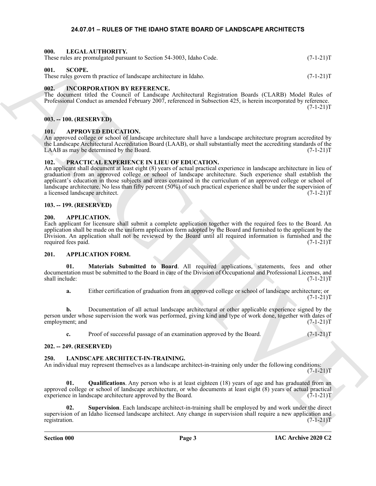#### <span id="page-2-20"></span>**24.07.01 – RULES OF THE IDAHO STATE BOARD OF LANDSCAPE ARCHITECTS**

#### <span id="page-2-1"></span><span id="page-2-0"></span>**000. LEGAL AUTHORITY.**

These rules are promulgated pursuant to Section 54-3003, Idaho Code. (7-1-21)T

#### <span id="page-2-22"></span><span id="page-2-2"></span>**001. SCOPE.**

These rules govern th practice of landscape architecture in Idaho. (7-1-21)T

#### <span id="page-2-16"></span><span id="page-2-3"></span>**002. INCORPORATION BY REFERENCE.**

The document titled the Council of Landscape Architectural Registration Boards (CLARB) Model Rules of Professional Conduct as amended February 2007, referenced in Subsection 425, is herein incorporated by reference.  $(7-1-21)T$ 

#### <span id="page-2-4"></span>**003. -- 100. (RESERVED)**

#### <span id="page-2-15"></span><span id="page-2-5"></span>**101. APPROVED EDUCATION.**

An approved college or school of landscape architecture shall have a landscape architecture program accredited by the Landscape Architectural Accreditation Board (LAAB), or shall substantially meet the accrediting standards of the LAAB as may be determined by the Board.  $(7-1-21)T$ 

#### <span id="page-2-21"></span><span id="page-2-6"></span>**102. PRACTICAL EXPERIENCE IN LIEU OF EDUCATION.**

Here shows promotion of the basic stress of the state. The state of the state of the state of the state of the state of the state of the state of the state of the state of the state of the state of the state of the state An applicant shall document at least eight (8) years of actual practical experience in landscape architecture in lieu of graduation from an approved college or school of landscape architecture. Such experience shall establish the applicant's education in those subjects and areas contained in the curriculum of an approved college or school of landscape architecture. No less than fifty percent (50%) of such practical experience shall be under the supervision of a licensed landscape architect. (7-1-21)T

#### <span id="page-2-7"></span>**103. -- 199. (RESERVED)**

#### <span id="page-2-12"></span><span id="page-2-8"></span>**200. APPLICATION.**

Each applicant for licensure shall submit a complete application together with the required fees to the Board. An application shall be made on the uniform application form adopted by the Board and furnished to the applicant by the Division. An application shall not be reviewed by the Board until all required information is furnished and the required fees paid.  $(7-1-21)$ required fees paid.

#### <span id="page-2-13"></span><span id="page-2-9"></span>**201. APPLICATION FORM.**

**01. Materials Submitted to Board**. All required applications, statements, fees and other documentation must be submitted to the Board in care of the Division of Occupational and Professional Licenses, and<br>(7-1-21) shall include: (7-1-21)T

<span id="page-2-14"></span>**a.** Either certification of graduation from an approved college or school of landscape architecture; or  $(7-1-21)T$ 

**b.** Documentation of all actual landscape architectural or other applicable experience signed by the person under whose supervision the work was performed, giving kind and type of work done, together with dates of employment; and (7-1-21)T

<span id="page-2-17"></span>**c.** Proof of successful passage of an examination approved by the Board. (7-1-21)T

#### <span id="page-2-10"></span>**202. -- 249. (RESERVED)**

#### <span id="page-2-11"></span>**250. LANDSCAPE ARCHITECT-IN-TRAINING.**

An individual may represent themselves as a landscape architect-in-training only under the following conditions:  $(7-1-21)T$ 

<span id="page-2-18"></span>**01. Qualifications**. Any person who is at least eighteen (18) years of age and has graduated from an approved college or school of landscape architecture, or who documents at least eight (8) years of actual practical experience in landscape architecture approved by the Board. (7-1-21)T

<span id="page-2-19"></span>**02. Supervision**. Each landscape architect-in-training shall be employed by and work under the direct supervision of an Idaho licensed landscape architect. Any change in supervision shall require a new application and registration. (7-1-21)T registration. (7-1-21)T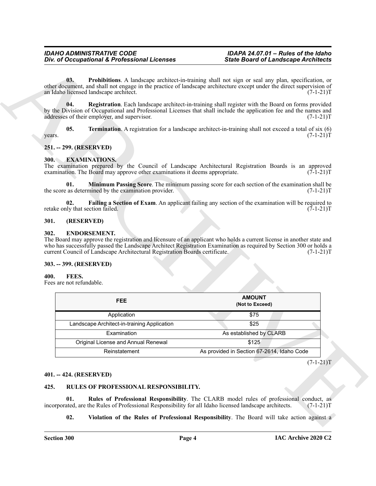#### <span id="page-3-14"></span><span id="page-3-13"></span>*IDAHO ADMINISTRATIVE CODE IDAPA 24.07.01 – Rules of the Idaho* **Div. of Occupational & Professional Licenses**

#### <span id="page-3-15"></span><span id="page-3-0"></span>**251. -- 299. (RESERVED)**

#### <span id="page-3-11"></span><span id="page-3-9"></span><span id="page-3-1"></span>**300. EXAMINATIONS.**

#### <span id="page-3-10"></span><span id="page-3-2"></span>**301. (RESERVED)**

#### <span id="page-3-8"></span><span id="page-3-3"></span>**302. ENDORSEMENT.**

#### <span id="page-3-12"></span><span id="page-3-5"></span><span id="page-3-4"></span>**303. -- 399. (RESERVED)**

|                                                                                                                                                                                                                                                                            | <b>State Board of Landscape Architects</b>                                                                           |
|----------------------------------------------------------------------------------------------------------------------------------------------------------------------------------------------------------------------------------------------------------------------------|----------------------------------------------------------------------------------------------------------------------|
| 03.<br>other document, and shall not engage in the practice of landscape architecture except under the direct supervision of<br>an Idaho licensed landscape architect.                                                                                                     | Prohibitions. A landscape architect-in-training shall not sign or seal any plan, specification, or<br>$(7-1-21)T$    |
| 04.<br>by the Division of Occupational and Professional Licenses that shall include the application fee and the names and<br>addresses of their employer, and supervisor.                                                                                                  | Registration. Each landscape architect-in-training shall register with the Board on forms provided<br>$(7-1-21)T$    |
| 05.<br>years.                                                                                                                                                                                                                                                              | Termination. A registration for a landscape architect-in-training shall not exceed a total of six (6)<br>$(7-1-21)T$ |
| 251. -- 299. (RESERVED)                                                                                                                                                                                                                                                    |                                                                                                                      |
| <b>EXAMINATIONS.</b><br><b>300.</b><br>The examination prepared by the Council of Landscape Architectural Registration Boards is an approved<br>examination. The Board may approve other examinations it deems appropriate.                                                | $(7-1-21)T$                                                                                                          |
| 01.<br>the score as determined by the examination provider.                                                                                                                                                                                                                | Minimum Passing Score. The minimum passing score for each section of the examination shall be<br>$(7-1-21)T$         |
| 02.<br>retake only that section failed.                                                                                                                                                                                                                                    | Failing a Section of Exam. An applicant failing any section of the examination will be required to<br>$(7-1-21)T$    |
| 301.<br>(RESERVED)                                                                                                                                                                                                                                                         |                                                                                                                      |
| <b>ENDORSEMENT.</b><br>302.<br>The Board may approve the registration and licensure of an applicant who holds a current license in another state and<br>who has successfully passed the Landscape Architect Registration Examination as required by Section 300 or holds a |                                                                                                                      |
| current Council of Landscape Architectural Registration Boards certificate.<br>303. -- 399. (RESERVED)<br>400.<br>FEES.<br>Fees are not refundable.                                                                                                                        | $(7-1-21)T$                                                                                                          |
| <b>FEE</b>                                                                                                                                                                                                                                                                 | <b>AMOUNT</b><br>(Not to Exceed)                                                                                     |
| Application                                                                                                                                                                                                                                                                | \$75                                                                                                                 |
| Landscape Architect-in-training Application                                                                                                                                                                                                                                | \$25                                                                                                                 |
| Examination                                                                                                                                                                                                                                                                | As established by CLARB                                                                                              |
| Original License and Annual Renewal                                                                                                                                                                                                                                        | \$125                                                                                                                |
| Reinstatement                                                                                                                                                                                                                                                              | As provided in Section 67-2614, Idaho Code                                                                           |
|                                                                                                                                                                                                                                                                            | $(7-1-21)T$                                                                                                          |
| 401. -- 424. (RESERVED)                                                                                                                                                                                                                                                    |                                                                                                                      |
| 425.<br>RULES OF PROFESSIONAL RESPONSIBILITY.                                                                                                                                                                                                                              |                                                                                                                      |
| 01.<br>incorporated, are the Rules of Professional Responsibility for all Idaho licensed landscape architects.                                                                                                                                                             | Rules of Professional Responsibility. The CLARB model rules of professional conduct, as<br>$(7-1-21)T$               |

#### <span id="page-3-6"></span>**401. -- 424. (RESERVED)**

#### <span id="page-3-18"></span><span id="page-3-17"></span><span id="page-3-16"></span><span id="page-3-7"></span>**425. RULES OF PROFESSIONAL RESPONSIBILITY.**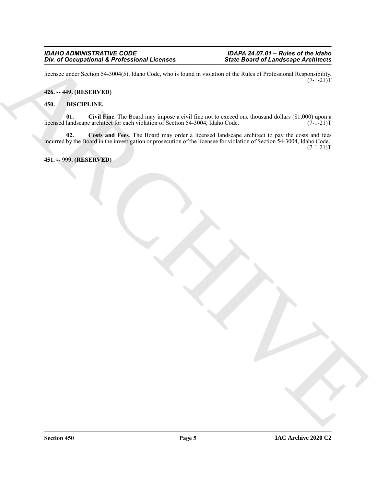#### *IDAHO ADMINISTRATIVE CODE IDAPA 24.07.01 – Rules of the Idaho Div. of Occupational & Professional Licenses*

licensee under Section 54-3004(5), Idaho Code, who is found in violation of the Rules of Professional Responsibility.  $(7-1-21)T$ 

#### <span id="page-4-0"></span>**426. -- 449. (RESERVED)**

#### <span id="page-4-4"></span><span id="page-4-3"></span><span id="page-4-1"></span>**450. DISCIPLINE.**

<span id="page-4-5"></span>**01.** Civil Fine. The Board may impose a civil fine not to exceed one thousand dollars (\$1,000) upon a landscape architect for each violation of Section 54-3004, Idaho Code. (7-1-21) licensed landscape architect for each violation of Section 54-3004, Idaho Code.

The did Occupational & Frederic Monterey and the state is a state based of Landscape Architects<br>
Referred With Section 34-3 (Monte Cert, when the state contract the R. de Cert (Photosometric Regular)<br>
45. ARCHIVES<br>
46. Co **02. Costs and Fees**. The Board may order a licensed landscape architect to pay the costs and fees incurred by the Board in the investigation or prosecution of the licensee for violation of Section 54-3004, Idaho Code.  $(7-1-21)T$ 

#### <span id="page-4-2"></span>**451. -- 999. (RESERVED)**